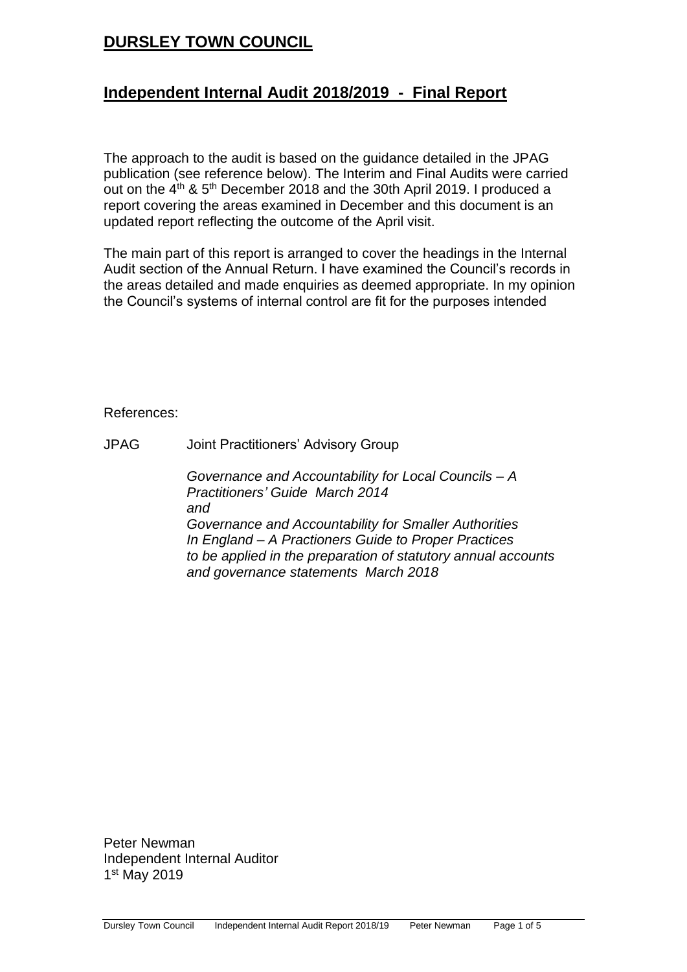# **DURSLEY TOWN COUNCIL**

## **Independent Internal Audit 2018/2019 - Final Report**

The approach to the audit is based on the guidance detailed in the JPAG publication (see reference below). The Interim and Final Audits were carried out on the 4<sup>th</sup> & 5<sup>th</sup> December 2018 and the 30th April 2019. I produced a report covering the areas examined in December and this document is an updated report reflecting the outcome of the April visit.

The main part of this report is arranged to cover the headings in the Internal Audit section of the Annual Return. I have examined the Council's records in the areas detailed and made enquiries as deemed appropriate. In my opinion the Council's systems of internal control are fit for the purposes intended

#### References:

JPAG Joint Practitioners' Advisory Group

*Governance and Accountability for Local Councils – A Practitioners' Guide March 2014 and Governance and Accountability for Smaller Authorities In England – A Practioners Guide to Proper Practices to be applied in the preparation of statutory annual accounts and governance statements March 2018*

Peter Newman Independent Internal Auditor 1 st May 2019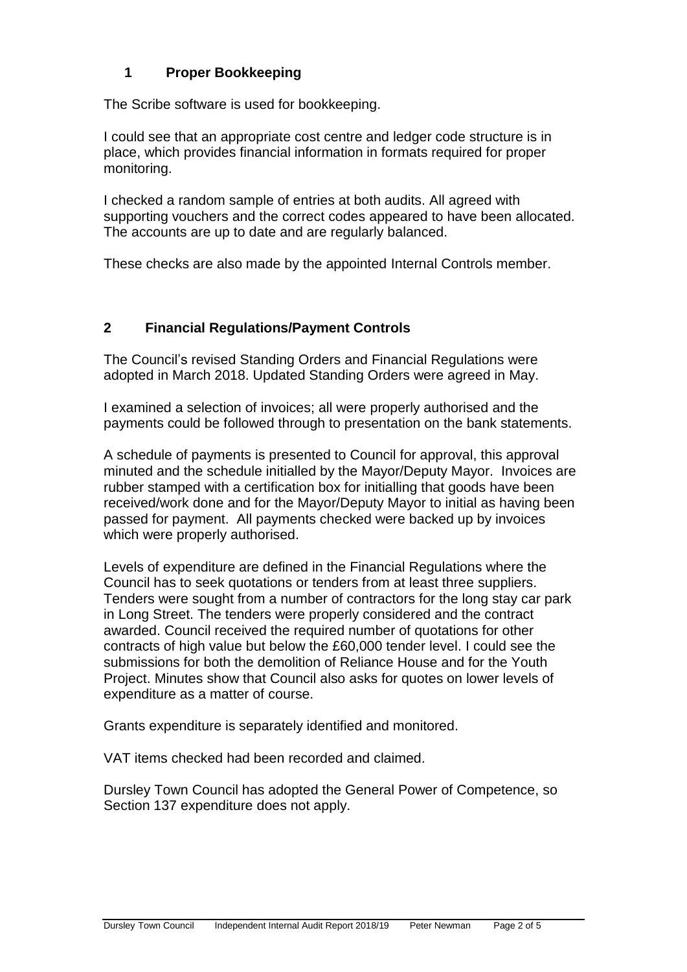## **1 Proper Bookkeeping**

The Scribe software is used for bookkeeping.

I could see that an appropriate cost centre and ledger code structure is in place, which provides financial information in formats required for proper monitoring.

I checked a random sample of entries at both audits. All agreed with supporting vouchers and the correct codes appeared to have been allocated. The accounts are up to date and are regularly balanced.

These checks are also made by the appointed Internal Controls member.

### **2 Financial Regulations/Payment Controls**

The Council's revised Standing Orders and Financial Regulations were adopted in March 2018. Updated Standing Orders were agreed in May.

I examined a selection of invoices; all were properly authorised and the payments could be followed through to presentation on the bank statements.

A schedule of payments is presented to Council for approval, this approval minuted and the schedule initialled by the Mayor/Deputy Mayor. Invoices are rubber stamped with a certification box for initialling that goods have been received/work done and for the Mayor/Deputy Mayor to initial as having been passed for payment. All payments checked were backed up by invoices which were properly authorised.

Levels of expenditure are defined in the Financial Regulations where the Council has to seek quotations or tenders from at least three suppliers. Tenders were sought from a number of contractors for the long stay car park in Long Street. The tenders were properly considered and the contract awarded. Council received the required number of quotations for other contracts of high value but below the £60,000 tender level. I could see the submissions for both the demolition of Reliance House and for the Youth Project. Minutes show that Council also asks for quotes on lower levels of expenditure as a matter of course.

Grants expenditure is separately identified and monitored.

VAT items checked had been recorded and claimed.

Dursley Town Council has adopted the General Power of Competence, so Section 137 expenditure does not apply.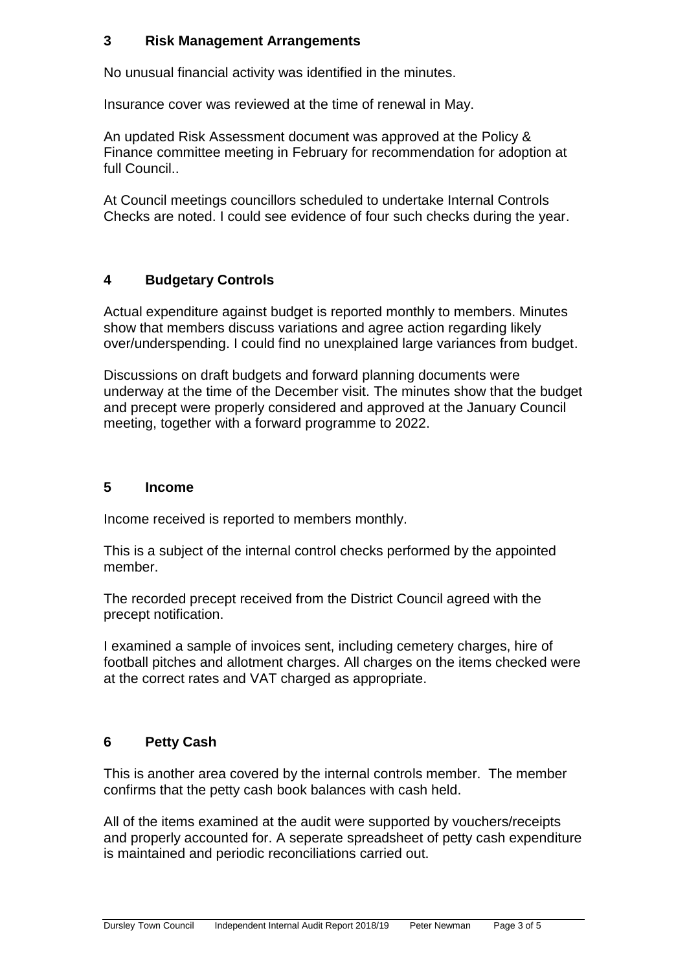### **3 Risk Management Arrangements**

No unusual financial activity was identified in the minutes.

Insurance cover was reviewed at the time of renewal in May.

An updated Risk Assessment document was approved at the Policy & Finance committee meeting in February for recommendation for adoption at full Council..

At Council meetings councillors scheduled to undertake Internal Controls Checks are noted. I could see evidence of four such checks during the year.

### **4 Budgetary Controls**

Actual expenditure against budget is reported monthly to members. Minutes show that members discuss variations and agree action regarding likely over/underspending. I could find no unexplained large variances from budget.

Discussions on draft budgets and forward planning documents were underway at the time of the December visit. The minutes show that the budget and precept were properly considered and approved at the January Council meeting, together with a forward programme to 2022.

#### **5 Income**

Income received is reported to members monthly.

This is a subject of the internal control checks performed by the appointed member.

The recorded precept received from the District Council agreed with the precept notification.

I examined a sample of invoices sent, including cemetery charges, hire of football pitches and allotment charges. All charges on the items checked were at the correct rates and VAT charged as appropriate.

### **6 Petty Cash**

This is another area covered by the internal controls member. The member confirms that the petty cash book balances with cash held.

All of the items examined at the audit were supported by vouchers/receipts and properly accounted for. A seperate spreadsheet of petty cash expenditure is maintained and periodic reconciliations carried out.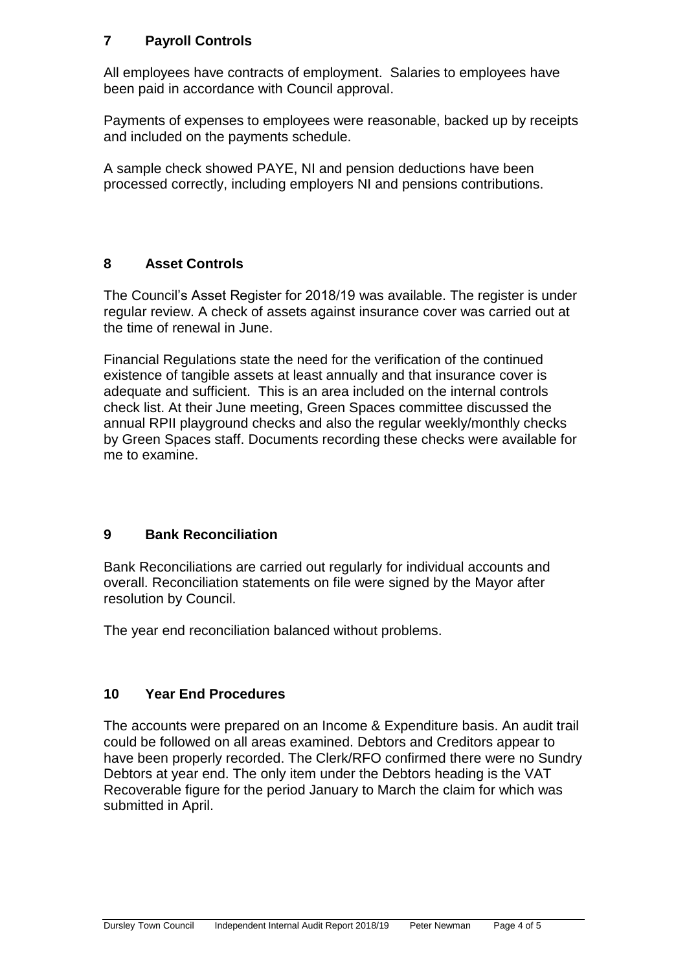### **7 Payroll Controls**

All employees have contracts of employment. Salaries to employees have been paid in accordance with Council approval.

Payments of expenses to employees were reasonable, backed up by receipts and included on the payments schedule.

A sample check showed PAYE, NI and pension deductions have been processed correctly, including employers NI and pensions contributions.

### **8 Asset Controls**

The Council's Asset Register for 2018/19 was available. The register is under regular review. A check of assets against insurance cover was carried out at the time of renewal in June.

Financial Regulations state the need for the verification of the continued existence of tangible assets at least annually and that insurance cover is adequate and sufficient. This is an area included on the internal controls check list. At their June meeting, Green Spaces committee discussed the annual RPII playground checks and also the regular weekly/monthly checks by Green Spaces staff. Documents recording these checks were available for me to examine.

### **9 Bank Reconciliation**

Bank Reconciliations are carried out regularly for individual accounts and overall. Reconciliation statements on file were signed by the Mayor after resolution by Council.

The year end reconciliation balanced without problems.

### **10 Year End Procedures**

The accounts were prepared on an Income & Expenditure basis. An audit trail could be followed on all areas examined. Debtors and Creditors appear to have been properly recorded. The Clerk/RFO confirmed there were no Sundry Debtors at year end. The only item under the Debtors heading is the VAT Recoverable figure for the period January to March the claim for which was submitted in April.